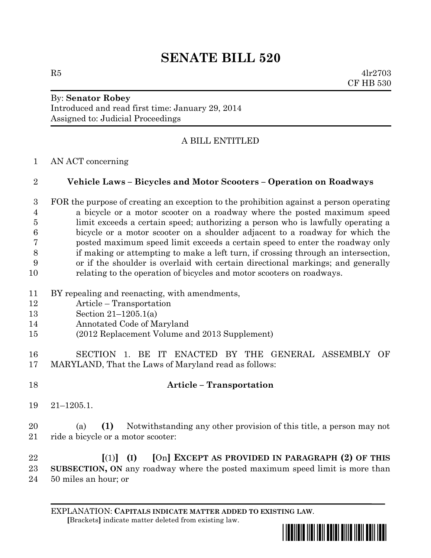# **SENATE BILL 520**

 $R5$  4lr2703 CF HB 530

#### By: **Senator Robey** Introduced and read first time: January 29, 2014 Assigned to: Judicial Proceedings

# A BILL ENTITLED

AN ACT concerning

### **Vehicle Laws – Bicycles and Motor Scooters – Operation on Roadways**

 FOR the purpose of creating an exception to the prohibition against a person operating a bicycle or a motor scooter on a roadway where the posted maximum speed limit exceeds a certain speed; authorizing a person who is lawfully operating a bicycle or a motor scooter on a shoulder adjacent to a roadway for which the posted maximum speed limit exceeds a certain speed to enter the roadway only if making or attempting to make a left turn, if crossing through an intersection, or if the shoulder is overlaid with certain directional markings; and generally relating to the operation of bicycles and motor scooters on roadways.

- BY repealing and reenacting, with amendments,
- Article Transportation
- Section 21–1205.1(a)
- Annotated Code of Maryland
- (2012 Replacement Volume and 2013 Supplement)
- SECTION 1. BE IT ENACTED BY THE GENERAL ASSEMBLY OF MARYLAND, That the Laws of Maryland read as follows:
- 

## **Article – Transportation**

21–1205.1.

 (a) **(1)** Notwithstanding any other provision of this title, a person may not 21 ride a bicycle or a motor scooter:

 **[**(1)**] (I) [**On**] EXCEPT AS PROVIDED IN PARAGRAPH (2) OF THIS SUBSECTION, ON** any roadway where the posted maximum speed limit is more than 50 miles an hour; or

EXPLANATION: **CAPITALS INDICATE MATTER ADDED TO EXISTING LAW**.  **[**Brackets**]** indicate matter deleted from existing law.